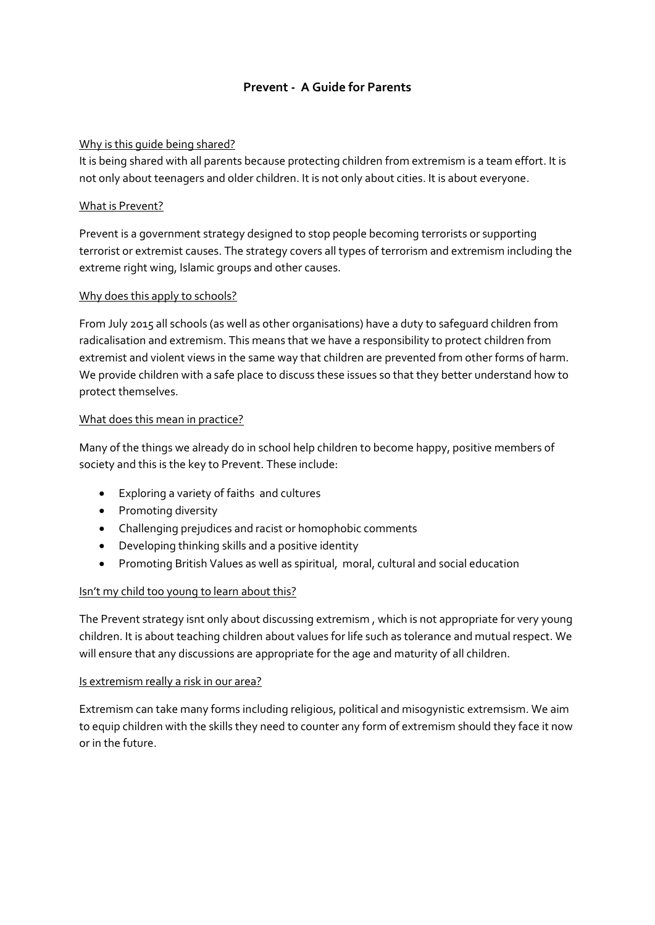# **Prevent - A Guide for Parents**

### Why is this guide being shared?

It is being shared with all parents because protecting children from extremism is a team effort. It is not only about teenagers and older children. It is not only about cities. It is about everyone.

## What is Prevent?

Prevent is a government strategy designed to stop people becoming terrorists or supporting terrorist or extremist causes. The strategy covers all types of terrorism and extremism including the extreme right wing, Islamic groups and other causes.

## Why does this apply to schools?

From July 2015 all schools (as well as other organisations) have a duty to safeguard children from radicalisation and extremism. This means that we have a responsibility to protect children from extremist and violent views in the same way that children are prevented from other forms of harm. We provide children with a safe place to discuss these issues so that they better understand how to protect themselves.

## What does this mean in practice?

Many of the things we already do in school help children to become happy, positive members of society and this is the key to Prevent. These include:

- Exploring a variety of faiths and cultures
- Promoting diversity
- Challenging prejudices and racist or homophobic comments
- Developing thinking skills and a positive identity
- Promoting British Values as well as spiritual, moral, cultural and social education

## Isn't my child too young to learn about this?

The Prevent strategy isnt only about discussing extremism , which is not appropriate for very young children. It is about teaching children about values for life such as tolerance and mutual respect. We will ensure that any discussions are appropriate for the age and maturity of all children.

### Is extremism really a risk in our area?

Extremism can take many forms including religious, political and misogynistic extremsism. We aim to equip children with the skills they need to counter any form of extremism should they face it now or in the future.